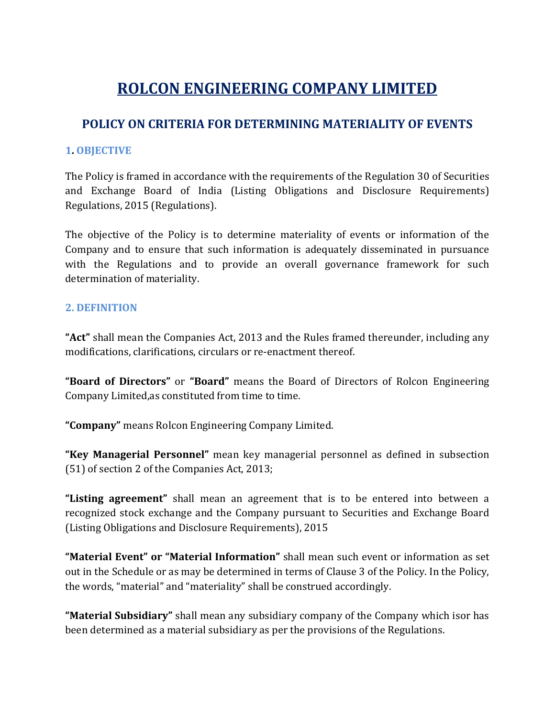# ROLCON ENGINEERING COMPANY LIMITED

# POLICY ON CRITERIA FOR DETERMINING MATERIALITY OF EVENTS

#### 1. OBJECTIVE

The Policy is framed in accordance with the requirements of the Regulation 30 of Securities and Exchange Board of India (Listing Obligations and Disclosure Requirements) Regulations, 2015 (Regulations).

The objective of the Policy is to determine materiality of events or information of the Company and to ensure that such information is adequately disseminated in pursuance with the Regulations and to provide an overall governance framework for such determination of materiality.

#### 2. DEFINITION

"Act" shall mean the Companies Act, 2013 and the Rules framed thereunder, including any modifications, clarifications, circulars or re-enactment thereof.

"Board of Directors" or "Board" means the Board of Directors of Rolcon Engineering Company Limited,as constituted from time to time.

"Company" means Rolcon Engineering Company Limited.

"Key Managerial Personnel" mean key managerial personnel as defined in subsection (51) of section 2 of the Companies Act, 2013;

"Listing agreement" shall mean an agreement that is to be entered into between a recognized stock exchange and the Company pursuant to Securities and Exchange Board (Listing Obligations and Disclosure Requirements), 2015

"Material Event" or "Material Information" shall mean such event or information as set out in the Schedule or as may be determined in terms of Clause 3 of the Policy. In the Policy, the words, "material" and "materiality" shall be construed accordingly.

"Material Subsidiary" shall mean any subsidiary company of the Company which isor has been determined as a material subsidiary as per the provisions of the Regulations.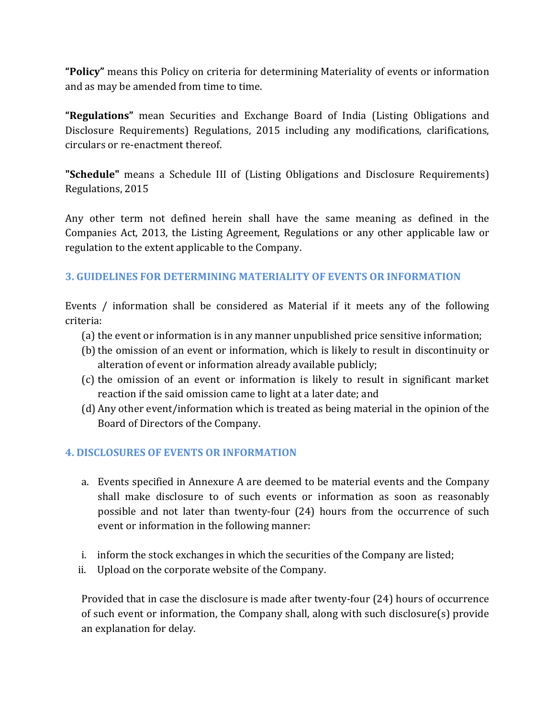"Policy" means this Policy on criteria for determining Materiality of events or information and as may be amended from time to time.

"Regulations" mean Securities and Exchange Board of India (Listing Obligations and Disclosure Requirements) Regulations, 2015 including any modifications, clarifications, circulars or re-enactment thereof.

"Schedule" means a Schedule III of (Listing Obligations and Disclosure Requirements) Regulations, 2015

Any other term not defined herein shall have the same meaning as defined in the Companies Act, 2013, the Listing Agreement, Regulations or any other applicable law or regulation to the extent applicable to the Company.

## 3. GUIDELINES FOR DETERMINING MATERIALITY OF EVENTS OR INFORMATION

Events / information shall be considered as Material if it meets any of the following criteria:

- (a) the event or information is in any manner unpublished price sensitive information;
- (b) the omission of an event or information, which is likely to result in discontinuity or alteration of event or information already available publicly;
- (c) the omission of an event or information is likely to result in significant market reaction if the said omission came to light at a later date; and
- (d) Any other event/information which is treated as being material in the opinion of the Board of Directors of the Company.

## 4. DISCLOSURES OF EVENTS OR INFORMATION

- a. Events specified in Annexure A are deemed to be material events and the Company shall make disclosure to of such events or information as soon as reasonably possible and not later than twenty-four (24) hours from the occurrence of such event or information in the following manner:
- i. inform the stock exchanges in which the securities of the Company are listed;
- ii. Upload on the corporate website of the Company.

Provided that in case the disclosure is made after twenty-four (24) hours of occurrence of such event or information, the Company shall, along with such disclosure(s) provide an explanation for delay.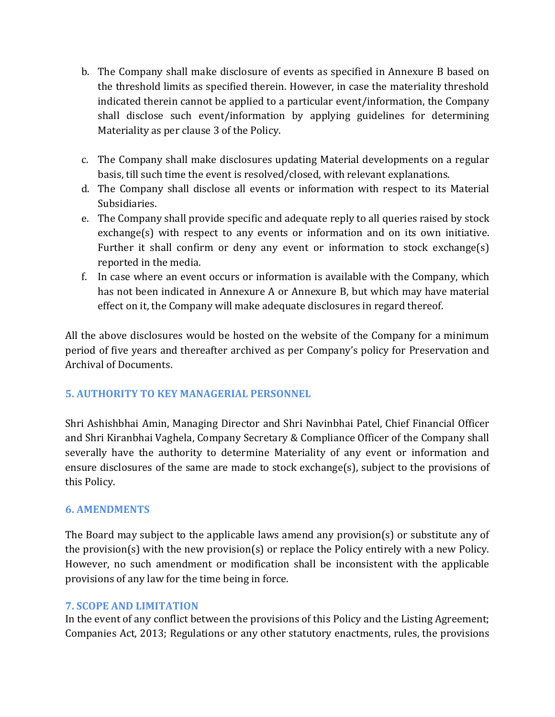- b. The Company shall make disclosure of events as specified in Annexure B based on the threshold limits as specified therein. However, in case the materiality threshold indicated therein cannot be applied to a particular event/information, the Company shall disclose such event/information by applying guidelines for determining Materiality as per clause 3 of the Policy.
- c. The Company shall make disclosures updating Material developments on a regular basis, till such time the event is resolved/closed, with relevant explanations.
- d. The Company shall disclose all events or information with respect to its Material Subsidiaries.
- e. The Company shall provide specific and adequate reply to all queries raised by stock exchange(s) with respect to any events or information and on its own initiative. Further it shall confirm or deny any event or information to stock exchange(s) reported in the media.
- f. In case where an event occurs or information is available with the Company, which has not been indicated in Annexure A or Annexure B, but which may have material effect on it, the Company will make adequate disclosures in regard thereof.

All the above disclosures would be hosted on the website of the Company for a minimum period of five years and thereafter archived as per Company's policy for Preservation and Archival of Documents.

## 5. AUTHORITY TO KEY MANAGERIAL PERSONNEL

Shri Ashishbhai Amin, Managing Director and Shri Navinbhai Patel, Chief Financial Officer and Shri Kiranbhai Vaghela, Company Secretary & Compliance Officer of the Company shall severally have the authority to determine Materiality of any event or information and ensure disclosures of the same are made to stock exchange(s), subject to the provisions of this Policy.

## 6. AMENDMENTS

The Board may subject to the applicable laws amend any provision(s) or substitute any of the provision(s) with the new provision(s) or replace the Policy entirely with a new Policy. However, no such amendment or modification shall be inconsistent with the applicable provisions of any law for the time being in force.

#### 7. SCOPE AND LIMITATION

In the event of any conflict between the provisions of this Policy and the Listing Agreement; Companies Act, 2013; Regulations or any other statutory enactments, rules, the provisions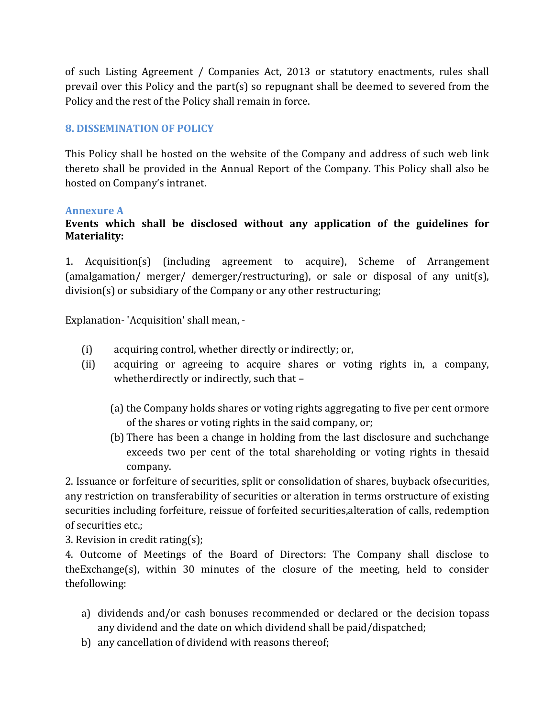of such Listing Agreement / Companies Act, 2013 or statutory enactments, rules shall prevail over this Policy and the part(s) so repugnant shall be deemed to severed from the Policy and the rest of the Policy shall remain in force.

#### 8. DISSEMINATION OF POLICY

This Policy shall be hosted on the website of the Company and address of such web link thereto shall be provided in the Annual Report of the Company. This Policy shall also be hosted on Company's intranet.

#### Annexure A

#### Events which shall be disclosed without any application of the guidelines for Materiality:

1. Acquisition(s) (including agreement to acquire), Scheme of Arrangement (amalgamation/ merger/ demerger/restructuring), or sale or disposal of any unit(s), division(s) or subsidiary of the Company or any other restructuring;

Explanation- 'Acquisition' shall mean, -

- (i) acquiring control, whether directly or indirectly; or,
- (ii) acquiring or agreeing to acquire shares or voting rights in, a company, whetherdirectly or indirectly, such that –
	- (a) the Company holds shares or voting rights aggregating to five per cent ormore of the shares or voting rights in the said company, or;
	- (b) There has been a change in holding from the last disclosure and suchchange exceeds two per cent of the total shareholding or voting rights in thesaid company.

2. Issuance or forfeiture of securities, split or consolidation of shares, buyback ofsecurities, any restriction on transferability of securities or alteration in terms orstructure of existing securities including forfeiture, reissue of forfeited securities,alteration of calls, redemption of securities etc.;

3. Revision in credit rating(s);

4. Outcome of Meetings of the Board of Directors: The Company shall disclose to theExchange(s), within 30 minutes of the closure of the meeting, held to consider thefollowing:

- a) dividends and/or cash bonuses recommended or declared or the decision topass any dividend and the date on which dividend shall be paid/dispatched;
- b) any cancellation of dividend with reasons thereof;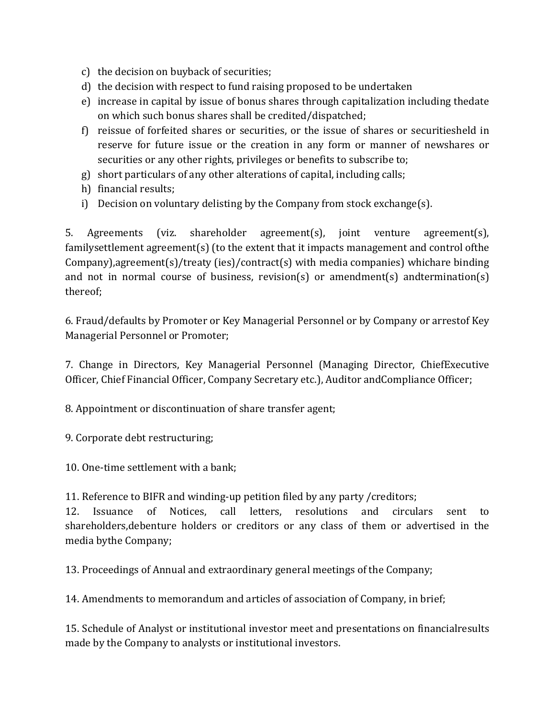- c) the decision on buyback of securities;
- d) the decision with respect to fund raising proposed to be undertaken
- e) increase in capital by issue of bonus shares through capitalization including thedate on which such bonus shares shall be credited/dispatched;
- f) reissue of forfeited shares or securities, or the issue of shares or securitiesheld in reserve for future issue or the creation in any form or manner of newshares or securities or any other rights, privileges or benefits to subscribe to;
- g) short particulars of any other alterations of capital, including calls;
- h) financial results;
- i) Decision on voluntary delisting by the Company from stock exchange(s).

5. Agreements (viz. shareholder agreement(s), joint venture agreement(s), familysettlement agreement(s) (to the extent that it impacts management and control ofthe Company),agreement(s)/treaty (ies)/contract(s) with media companies) whichare binding and not in normal course of business, revision(s) or amendment(s) andtermination(s) thereof;

6. Fraud/defaults by Promoter or Key Managerial Personnel or by Company or arrestof Key Managerial Personnel or Promoter;

7. Change in Directors, Key Managerial Personnel (Managing Director, ChiefExecutive Officer, Chief Financial Officer, Company Secretary etc.), Auditor andCompliance Officer;

8. Appointment or discontinuation of share transfer agent;

9. Corporate debt restructuring;

10. One-time settlement with a bank;

11. Reference to BIFR and winding-up petition filed by any party /creditors;

12. Issuance of Notices, call letters, resolutions and circulars sent to shareholders,debenture holders or creditors or any class of them or advertised in the media bythe Company;

13. Proceedings of Annual and extraordinary general meetings of the Company;

14. Amendments to memorandum and articles of association of Company, in brief;

15. Schedule of Analyst or institutional investor meet and presentations on financialresults made by the Company to analysts or institutional investors.